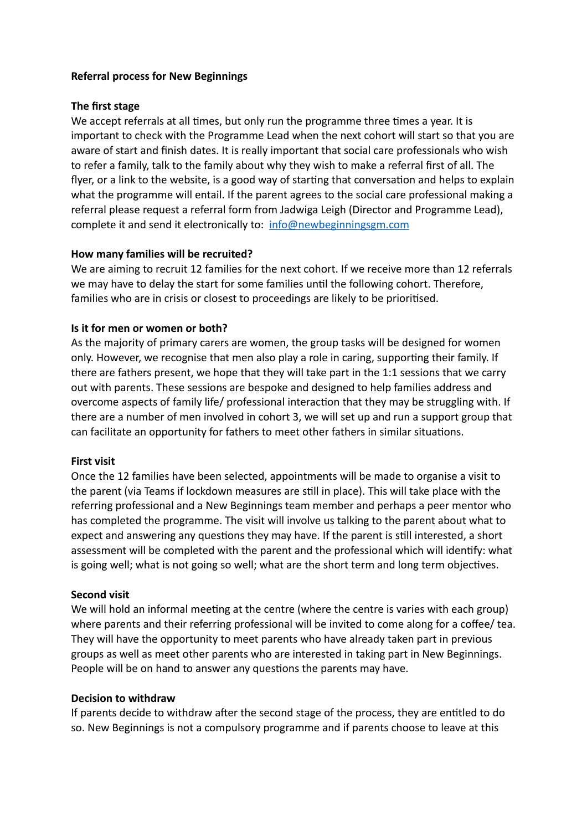### **Referral process for New Beginnings**

#### **The first stage**

We accept referrals at all times, but only run the programme three times a year. It is important to check with the Programme Lead when the next cohort will start so that you are aware of start and finish dates. It is really important that social care professionals who wish to refer a family, talk to the family about why they wish to make a referral first of all. The flyer, or a link to the website, is a good way of starting that conversation and helps to explain what the programme will entail. If the parent agrees to the social care professional making a referral please request a referral form from Jadwiga Leigh (Director and Programme Lead), complete it and send it electronically to: info@newbeginningsgm.com

## **How many families will be recruited?**

We are aiming to recruit 12 families for the next cohort. If we receive more than 12 referrals we may have to delay the start for some families until the following cohort. Therefore, families who are in crisis or closest to proceedings are likely to be prioritised.

## **Is it for men or women or both?**

As the majority of primary carers are women, the group tasks will be designed for women only. However, we recognise that men also play a role in caring, supporting their family. If there are fathers present, we hope that they will take part in the 1:1 sessions that we carry out with parents. These sessions are bespoke and designed to help families address and overcome aspects of family life/ professional interaction that they may be struggling with. If there are a number of men involved in cohort 3, we will set up and run a support group that can facilitate an opportunity for fathers to meet other fathers in similar situations.

#### **First visit**

Once the 12 families have been selected, appointments will be made to organise a visit to the parent (via Teams if lockdown measures are still in place). This will take place with the referring professional and a New Beginnings team member and perhaps a peer mentor who has completed the programme. The visit will involve us talking to the parent about what to expect and answering any questions they may have. If the parent is still interested, a short assessment will be completed with the parent and the professional which will identify: what is going well; what is not going so well; what are the short term and long term objectives.

#### **Second visit**

We will hold an informal meeting at the centre (where the centre is varies with each group) where parents and their referring professional will be invited to come along for a coffee/ tea. They will have the opportunity to meet parents who have already taken part in previous groups as well as meet other parents who are interested in taking part in New Beginnings. People will be on hand to answer any questions the parents may have.

#### **Decision to withdraw**

If parents decide to withdraw after the second stage of the process, they are entitled to do so. New Beginnings is not a compulsory programme and if parents choose to leave at this